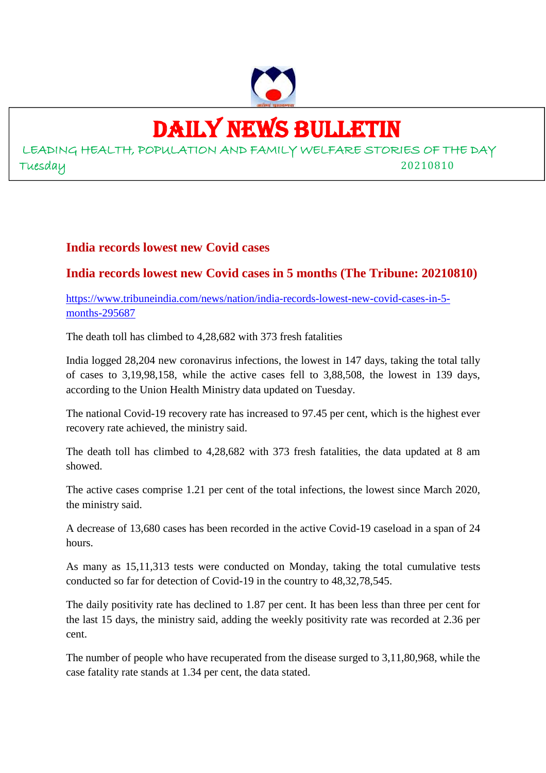

## DAILY NEWS BULLETIN

LEADING HEALTH, POPULATION AND FAMILY WELFARE STORIES OF THE DAY Tuesday 20210810

### **India records lowest new Covid cases**

### **India records lowest new Covid cases in 5 months (The Tribune: 20210810)**

https://www.tribuneindia.com/news/nation/india-records-lowest-new-covid-cases-in-5 months-295687

The death toll has climbed to 4,28,682 with 373 fresh fatalities

India logged 28,204 new coronavirus infections, the lowest in 147 days, taking the total tally of cases to 3,19,98,158, while the active cases fell to 3,88,508, the lowest in 139 days, according to the Union Health Ministry data updated on Tuesday.

The national Covid-19 recovery rate has increased to 97.45 per cent, which is the highest ever recovery rate achieved, the ministry said.

The death toll has climbed to 4,28,682 with 373 fresh fatalities, the data updated at 8 am showed.

The active cases comprise 1.21 per cent of the total infections, the lowest since March 2020, the ministry said.

A decrease of 13,680 cases has been recorded in the active Covid-19 caseload in a span of 24 hours.

As many as 15,11,313 tests were conducted on Monday, taking the total cumulative tests conducted so far for detection of Covid-19 in the country to 48,32,78,545.

The daily positivity rate has declined to 1.87 per cent. It has been less than three per cent for the last 15 days, the ministry said, adding the weekly positivity rate was recorded at 2.36 per cent.

The number of people who have recuperated from the disease surged to 3,11,80,968, while the case fatality rate stands at 1.34 per cent, the data stated.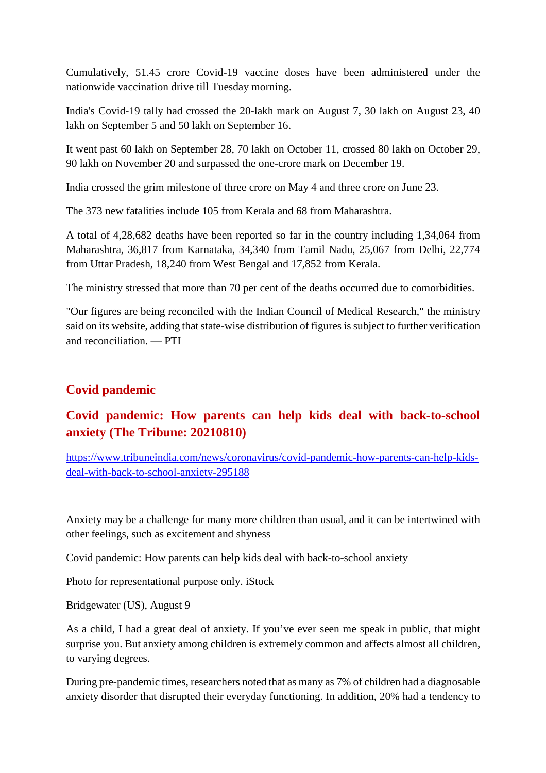Cumulatively, 51.45 crore Covid-19 vaccine doses have been administered under the nationwide vaccination drive till Tuesday morning.

India's Covid-19 tally had crossed the 20-lakh mark on August 7, 30 lakh on August 23, 40 lakh on September 5 and 50 lakh on September 16.

It went past 60 lakh on September 28, 70 lakh on October 11, crossed 80 lakh on October 29, 90 lakh on November 20 and surpassed the one-crore mark on December 19.

India crossed the grim milestone of three crore on May 4 and three crore on June 23.

The 373 new fatalities include 105 from Kerala and 68 from Maharashtra.

A total of 4,28,682 deaths have been reported so far in the country including 1,34,064 from Maharashtra, 36,817 from Karnataka, 34,340 from Tamil Nadu, 25,067 from Delhi, 22,774 from Uttar Pradesh, 18,240 from West Bengal and 17,852 from Kerala.

The ministry stressed that more than 70 per cent of the deaths occurred due to comorbidities.

"Our figures are being reconciled with the Indian Council of Medical Research," the ministry said on its website, adding that state-wise distribution of figures is subject to further verification and reconciliation  $=$  PTI

### **Covid pandemic**

### **Covid pandemic: How parents can help kids deal with back-to-school anxiety (The Tribune: 20210810)**

https://www.tribuneindia.com/news/coronavirus/covid-pandemic-how-parents-can-help-kidsdeal-with-back-to-school-anxiety-295188

Anxiety may be a challenge for many more children than usual, and it can be intertwined with other feelings, such as excitement and shyness

Covid pandemic: How parents can help kids deal with back-to-school anxiety

Photo for representational purpose only. iStock

Bridgewater (US), August 9

As a child, I had a great deal of anxiety. If you've ever seen me speak in public, that might surprise you. But anxiety among children is extremely common and affects almost all children, to varying degrees.

During pre-pandemic times, researchers noted that as many as 7% of children had a diagnosable anxiety disorder that disrupted their everyday functioning. In addition, 20% had a tendency to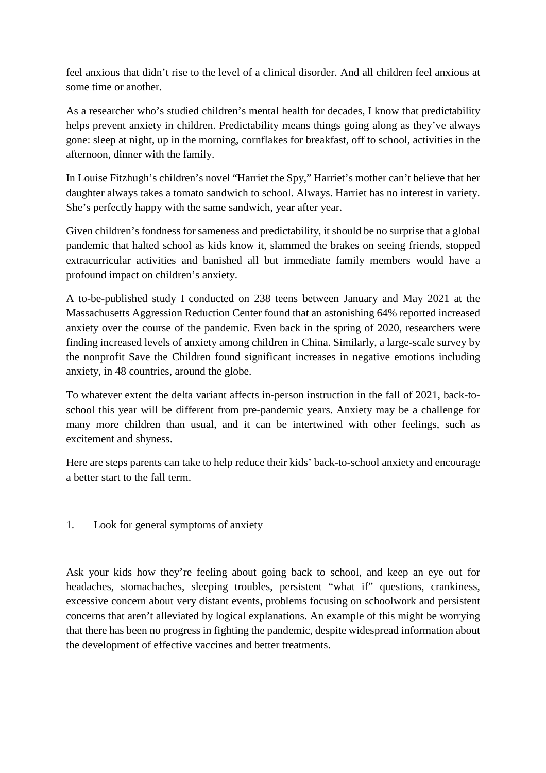feel anxious that didn't rise to the level of a clinical disorder. And all children feel anxious at some time or another.

As a researcher who's studied children's mental health for decades, I know that predictability helps prevent anxiety in children. Predictability means things going along as they've always gone: sleep at night, up in the morning, cornflakes for breakfast, off to school, activities in the afternoon, dinner with the family.

In Louise Fitzhugh's children's novel "Harriet the Spy," Harriet's mother can't believe that her daughter always takes a tomato sandwich to school. Always. Harriet has no interest in variety. She's perfectly happy with the same sandwich, year after year.

Given children's fondness for sameness and predictability, it should be no surprise that a global pandemic that halted school as kids know it, slammed the brakes on seeing friends, stopped extracurricular activities and banished all but immediate family members would have a profound impact on children's anxiety.

A to-be-published study I conducted on 238 teens between January and May 2021 at the Massachusetts Aggression Reduction Center found that an astonishing 64% reported increased anxiety over the course of the pandemic. Even back in the spring of 2020, researchers were finding increased levels of anxiety among children in China. Similarly, a large-scale survey by the nonprofit Save the Children found significant increases in negative emotions including anxiety, in 48 countries, around the globe.

To whatever extent the delta variant affects in-person instruction in the fall of 2021, back-toschool this year will be different from pre-pandemic years. Anxiety may be a challenge for many more children than usual, and it can be intertwined with other feelings, such as excitement and shyness.

Here are steps parents can take to help reduce their kids' back-to-school anxiety and encourage a better start to the fall term.

1. Look for general symptoms of anxiety

Ask your kids how they're feeling about going back to school, and keep an eye out for headaches, stomachaches, sleeping troubles, persistent "what if" questions, crankiness, excessive concern about very distant events, problems focusing on schoolwork and persistent concerns that aren't alleviated by logical explanations. An example of this might be worrying that there has been no progress in fighting the pandemic, despite widespread information about the development of effective vaccines and better treatments.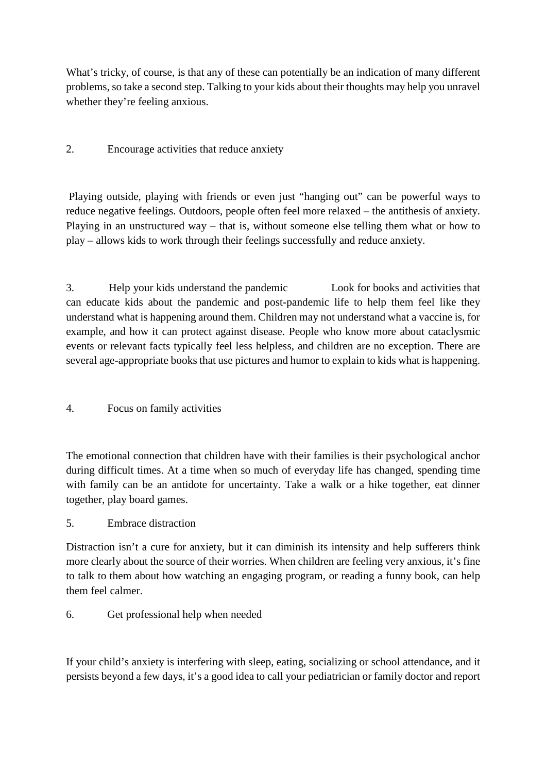What's tricky, of course, is that any of these can potentially be an indication of many different problems, so take a second step. Talking to your kids about their thoughts may help you unravel whether they're feeling anxious.

### 2. Encourage activities that reduce anxiety

Playing outside, playing with friends or even just "hanging out" can be powerful ways to reduce negative feelings. Outdoors, people often feel more relaxed – the antithesis of anxiety. Playing in an unstructured way – that is, without someone else telling them what or how to play – allows kids to work through their feelings successfully and reduce anxiety.

3. Help your kids understand the pandemic Look for books and activities that can educate kids about the pandemic and post-pandemic life to help them feel like they understand what is happening around them. Children may not understand what a vaccine is, for example, and how it can protect against disease. People who know more about cataclysmic events or relevant facts typically feel less helpless, and children are no exception. There are several age-appropriate books that use pictures and humor to explain to kids what is happening.

### 4. Focus on family activities

The emotional connection that children have with their families is their psychological anchor during difficult times. At a time when so much of everyday life has changed, spending time with family can be an antidote for uncertainty. Take a walk or a hike together, eat dinner together, play board games.

### 5. Embrace distraction

Distraction isn't a cure for anxiety, but it can diminish its intensity and help sufferers think more clearly about the source of their worries. When children are feeling very anxious, it's fine to talk to them about how watching an engaging program, or reading a funny book, can help them feel calmer.

### 6. Get professional help when needed

If your child's anxiety is interfering with sleep, eating, socializing or school attendance, and it persists beyond a few days, it's a good idea to call your pediatrician or family doctor and report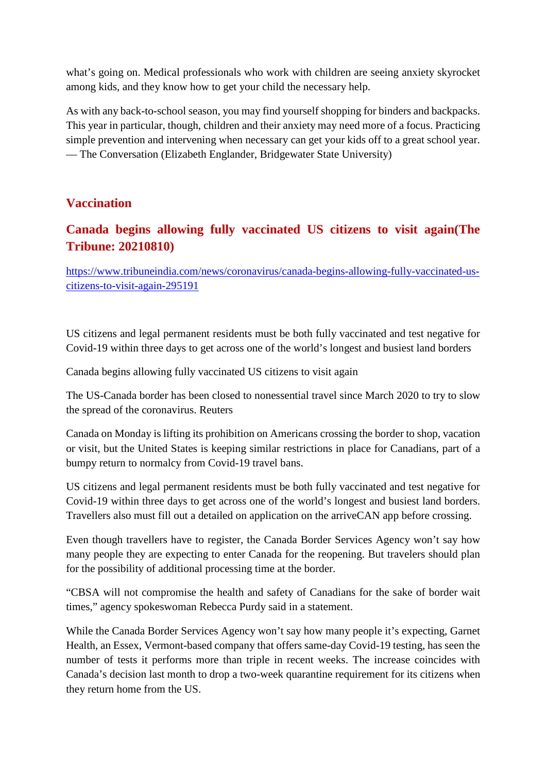what's going on. Medical professionals who work with children are seeing anxiety skyrocket among kids, and they know how to get your child the necessary help.

As with any back-to-school season, you may find yourself shopping for binders and backpacks. This year in particular, though, children and their anxiety may need more of a focus. Practicing simple prevention and intervening when necessary can get your kids off to a great school year. — The Conversation (Elizabeth Englander, Bridgewater State University)

### **Vaccination**

### **Canada begins allowing fully vaccinated US citizens to visit again(The Tribune: 20210810)**

https://www.tribuneindia.com/news/coronavirus/canada-begins-allowing-fully-vaccinated-uscitizens-to-visit-again-295191

US citizens and legal permanent residents must be both fully vaccinated and test negative for Covid-19 within three days to get across one of the world's longest and busiest land borders

Canada begins allowing fully vaccinated US citizens to visit again

The US-Canada border has been closed to nonessential travel since March 2020 to try to slow the spread of the coronavirus. Reuters

Canada on Monday is lifting its prohibition on Americans crossing the border to shop, vacation or visit, but the United States is keeping similar restrictions in place for Canadians, part of a bumpy return to normalcy from Covid-19 travel bans.

US citizens and legal permanent residents must be both fully vaccinated and test negative for Covid-19 within three days to get across one of the world's longest and busiest land borders. Travellers also must fill out a detailed on application on the arriveCAN app before crossing.

Even though travellers have to register, the Canada Border Services Agency won't say how many people they are expecting to enter Canada for the reopening. But travelers should plan for the possibility of additional processing time at the border.

"CBSA will not compromise the health and safety of Canadians for the sake of border wait times," agency spokeswoman Rebecca Purdy said in a statement.

While the Canada Border Services Agency won't say how many people it's expecting, Garnet Health, an Essex, Vermont-based company that offers same-day Covid-19 testing, has seen the number of tests it performs more than triple in recent weeks. The increase coincides with Canada's decision last month to drop a two-week quarantine requirement for its citizens when they return home from the US.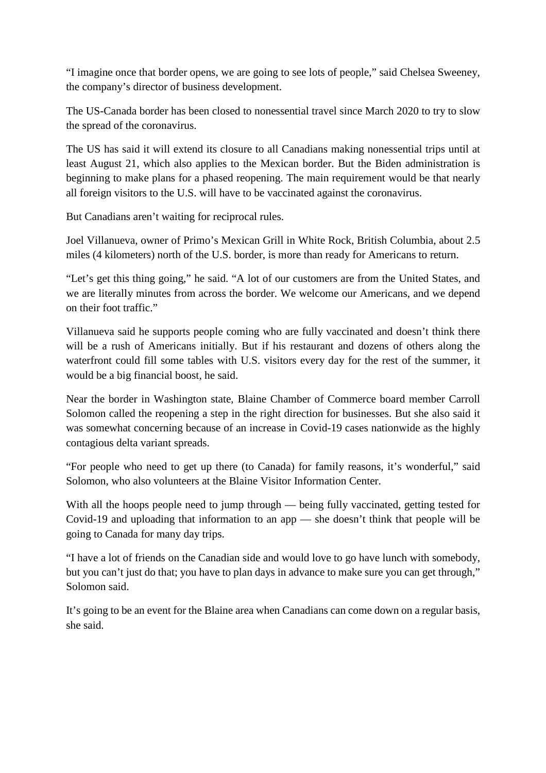"I imagine once that border opens, we are going to see lots of people," said Chelsea Sweeney, the company's director of business development.

The US-Canada border has been closed to nonessential travel since March 2020 to try to slow the spread of the coronavirus.

The US has said it will extend its closure to all Canadians making nonessential trips until at least August 21, which also applies to the Mexican border. But the Biden administration is beginning to make plans for a phased reopening. The main requirement would be that nearly all foreign visitors to the U.S. will have to be vaccinated against the coronavirus.

But Canadians aren't waiting for reciprocal rules.

Joel Villanueva, owner of Primo's Mexican Grill in White Rock, British Columbia, about 2.5 miles (4 kilometers) north of the U.S. border, is more than ready for Americans to return.

"Let's get this thing going," he said. "A lot of our customers are from the United States, and we are literally minutes from across the border. We welcome our Americans, and we depend on their foot traffic."

Villanueva said he supports people coming who are fully vaccinated and doesn't think there will be a rush of Americans initially. But if his restaurant and dozens of others along the waterfront could fill some tables with U.S. visitors every day for the rest of the summer, it would be a big financial boost, he said.

Near the border in Washington state, Blaine Chamber of Commerce board member Carroll Solomon called the reopening a step in the right direction for businesses. But she also said it was somewhat concerning because of an increase in Covid-19 cases nationwide as the highly contagious delta variant spreads.

"For people who need to get up there (to Canada) for family reasons, it's wonderful," said Solomon, who also volunteers at the Blaine Visitor Information Center.

With all the hoops people need to jump through — being fully vaccinated, getting tested for Covid-19 and uploading that information to an app — she doesn't think that people will be going to Canada for many day trips.

"I have a lot of friends on the Canadian side and would love to go have lunch with somebody, but you can't just do that; you have to plan days in advance to make sure you can get through," Solomon said.

It's going to be an event for the Blaine area when Canadians can come down on a regular basis, she said.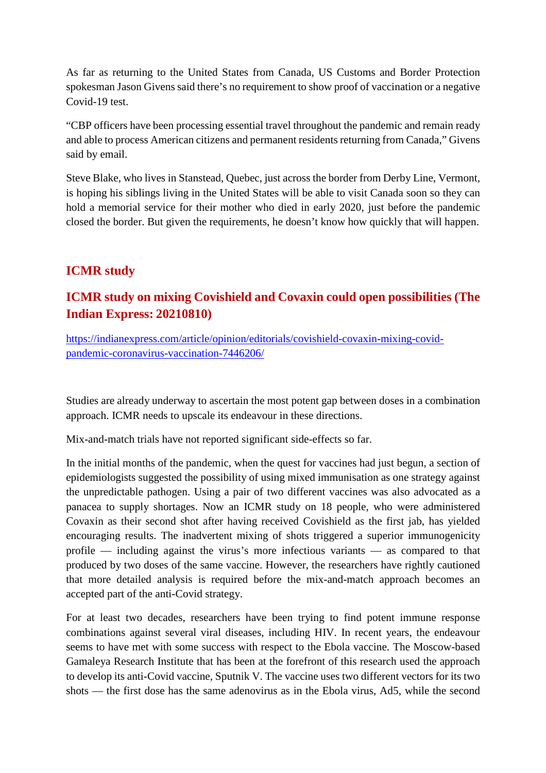As far as returning to the United States from Canada, US Customs and Border Protection spokesman Jason Givens said there's no requirement to show proof of vaccination or a negative Covid-19 test.

"CBP officers have been processing essential travel throughout the pandemic and remain ready and able to process American citizens and permanent residents returning from Canada," Givens said by email.

Steve Blake, who lives in Stanstead, Quebec, just across the border from Derby Line, Vermont, is hoping his siblings living in the United States will be able to visit Canada soon so they can hold a memorial service for their mother who died in early 2020, just before the pandemic closed the border. But given the requirements, he doesn't know how quickly that will happen.

### **ICMR study**

### **ICMR study on mixing Covishield and Covaxin could open possibilities (The Indian Express: 20210810)**

https://indianexpress.com/article/opinion/editorials/covishield-covaxin-mixing-covidpandemic-coronavirus-vaccination-7446206/

Studies are already underway to ascertain the most potent gap between doses in a combination approach. ICMR needs to upscale its endeavour in these directions.

Mix-and-match trials have not reported significant side-effects so far.

In the initial months of the pandemic, when the quest for vaccines had just begun, a section of epidemiologists suggested the possibility of using mixed immunisation as one strategy against the unpredictable pathogen. Using a pair of two different vaccines was also advocated as a panacea to supply shortages. Now an ICMR study on 18 people, who were administered Covaxin as their second shot after having received Covishield as the first jab, has yielded encouraging results. The inadvertent mixing of shots triggered a superior immunogenicity profile — including against the virus's more infectious variants — as compared to that produced by two doses of the same vaccine. However, the researchers have rightly cautioned that more detailed analysis is required before the mix-and-match approach becomes an accepted part of the anti-Covid strategy.

For at least two decades, researchers have been trying to find potent immune response combinations against several viral diseases, including HIV. In recent years, the endeavour seems to have met with some success with respect to the Ebola vaccine. The Moscow-based Gamaleya Research Institute that has been at the forefront of this research used the approach to develop its anti-Covid vaccine, Sputnik V. The vaccine uses two different vectors for its two shots — the first dose has the same adenovirus as in the Ebola virus, Ad5, while the second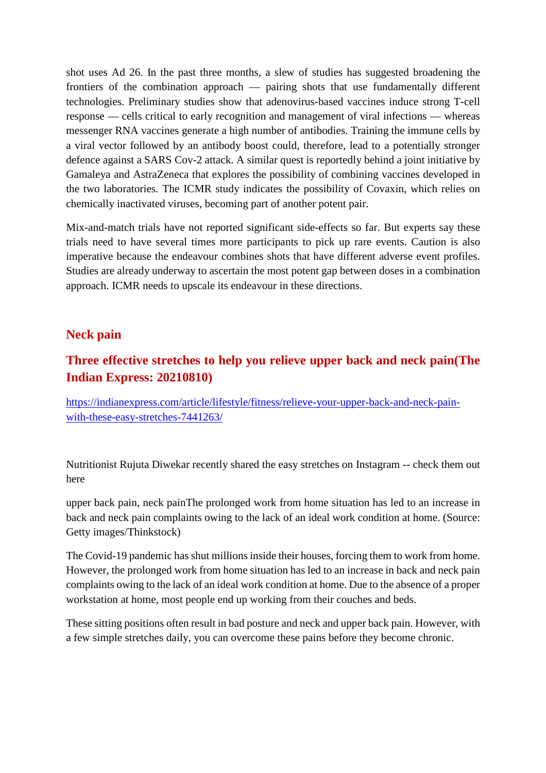shot uses Ad 26. In the past three months, a slew of studies has suggested broadening the frontiers of the combination approach — pairing shots that use fundamentally different technologies. Preliminary studies show that adenovirus-based vaccines induce strong T-cell response — cells critical to early recognition and management of viral infections — whereas messenger RNA vaccines generate a high number of antibodies. Training the immune cells by a viral vector followed by an antibody boost could, therefore, lead to a potentially stronger defence against a SARS Cov-2 attack. A similar quest is reportedly behind a joint initiative by Gamaleya and AstraZeneca that explores the possibility of combining vaccines developed in the two laboratories. The ICMR study indicates the possibility of Covaxin, which relies on chemically inactivated viruses, becoming part of another potent pair.

Mix-and-match trials have not reported significant side-effects so far. But experts say these trials need to have several times more participants to pick up rare events. Caution is also imperative because the endeavour combines shots that have different adverse event profiles. Studies are already underway to ascertain the most potent gap between doses in a combination approach. ICMR needs to upscale its endeavour in these directions.

### **Neck pain**

### **Three effective stretches to help you relieve upper back and neck pain(The Indian Express: 20210810)**

https://indianexpress.com/article/lifestyle/fitness/relieve-your-upper-back-and-neck-painwith-these-easy-stretches-7441263/

Nutritionist Rujuta Diwekar recently shared the easy stretches on Instagram -- check them out here

upper back pain, neck painThe prolonged work from home situation has led to an increase in back and neck pain complaints owing to the lack of an ideal work condition at home. (Source: Getty images/Thinkstock)

The Covid-19 pandemic has shut millions inside their houses, forcing them to work from home. However, the prolonged work from home situation has led to an increase in back and neck pain complaints owing to the lack of an ideal work condition at home. Due to the absence of a proper workstation at home, most people end up working from their couches and beds.

These sitting positions often result in bad posture and neck and upper back pain. However, with a few simple stretches daily, you can overcome these pains before they become chronic.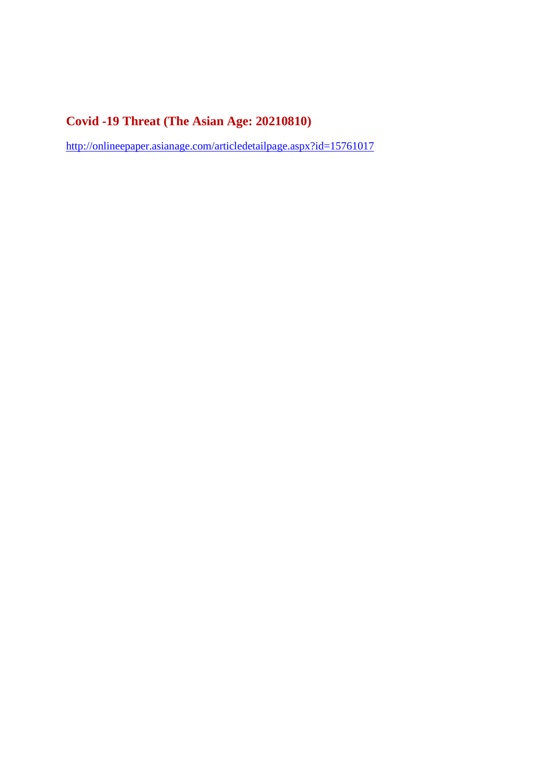### **Covid -19 Threat (The Asian Age: 20210810)**

http://onlineepaper.asianage.com/articledetailpage.aspx?id=15761017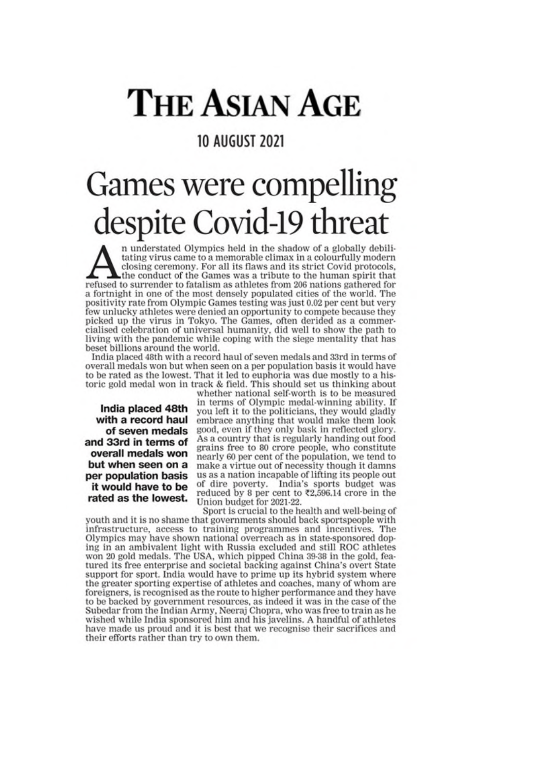# **THE ASIAN AGE**

### **10 AUGUST 2021**

# Games were compelling despite Covid-19 threat

n understated Olympics held in the shadow of a globally debilitating virus came to a memorable climax in a colourfully modern closing ceremony. For all its flaws and its strict Covid protocols, the conduct of the Games was a tribute to the human spirit that refused to surrender to fatalism as athletes from 206 nations gathered for a fortnight in one of the most densely populated cities of the world. The positivity rate from Olympic Games testing was just 0.02 per cent but very few unlucky athletes were denied an opportunity to compete because they picked up the virus in Tokyo. The Games, often derided as a commercialised celebration of universal humanity, did well to show the path to living with the pandemic while coping with the siege mentality that has beset billions around the world.

India placed 48th with a record haul of seven medals and 33rd in terms of overall medals won but when seen on a per population basis it would have to be rated as the lowest. That it led to euphoria was due mostly to a historic gold medal won in track & field. This should set us thinking about

India placed 48th with a record haul of seven medals and 33rd in terms of overall medals won but when seen on a per population basis it would have to be rated as the lowest.

whether national self-worth is to be measured in terms of Olympic medal-winning ability. If you left it to the politicians, they would gladly embrace anything that would make them look good, even if they only bask in reflected glory. As a country that is regularly handing out food grains free to 80 crore people, who constitute nearly 60 per cent of the population, we tend to make a virtue out of necessity though it damns us as a nation incapable of lifting its people out of dire poverty. India's sports budget was<br>reduced by 8 per cent to  $(2,596.14)$  crore in the Union budget for 2021-22.

Sport is crucial to the health and well-being of youth and it is no shame that governments should back sportspeople with infrastructure, access to training programmes and incentives. The Olympics may have shown national overreach as in state-sponsored doping in an ambivalent light with Russia excluded and still ROC athletes won 20 gold medals. The USA, which pipped China 39-38 in the gold, featured its free enterprise and societal backing against China's overt State support for sport. India would have to prime up its hybrid system where the greater sporting expertise of athletes and coaches, many of whom are foreigners, is recognised as the route to higher performance and they have to be backed by government resources, as indeed it was in the case of the Subedar from the Indian Army, Neeraj Chopra, who was free to train as he wished while India sponsored him and his javelins. A handful of athletes have made us proud and it is best that we recognise their sacrifices and their efforts rather than try to own them.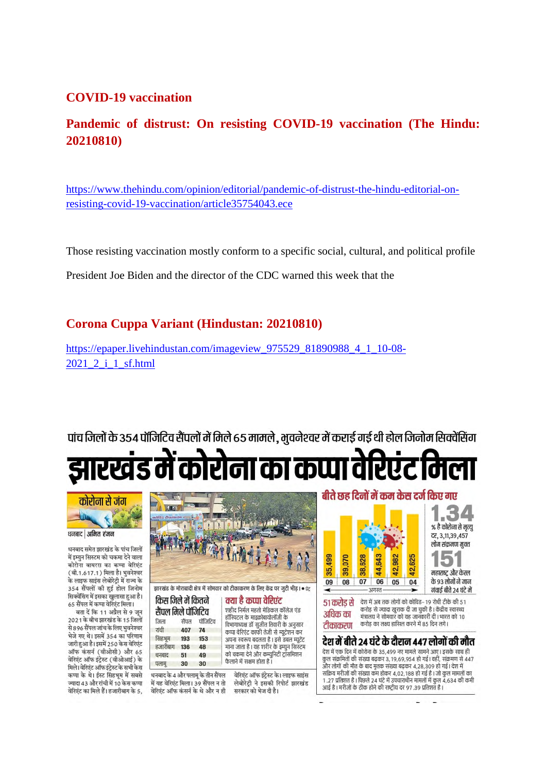### **COVID-19 vaccination**

### **Pandemic of distrust: On resisting COVID-19 vaccination (The Hindu: 20210810)**

https://www.thehindu.com/opinion/editorial/pandemic-of-distrust-the-hindu-editorial-onresisting-covid-19-vaccination/article35754043.ece

Those resisting vaccination mostly conform to a specific social, cultural, and political profile

President Joe Biden and the director of the CDC warned this week that the

### **Corona Cuppa Variant (Hindustan: 20210810)**

https://epaper.livehindustan.com/imageview\_975529\_81890988\_4\_1\_10-08- 2021 2 i 1 sf.html

पांच जिलों के 354 पॉजिटिव सैंपलों में मिले 65 मामले, भुवनेश्वर में कराई गई थी होल जिनोम सिक्वेंसिंग

**। का कप्पा वा**  $\overline{a}$ O



#### धनबाद | अमित रंजन

धनबाद समेत झारखंड के पांच जिलों .<br>में इम्युन सिस्टम को चकमा देने वाला कोरोना वायरस का कप्पा वेरिएंट (बी.1.617.1) मिला है। भवनेश्वर के लाइफ साइंस लेबोरेटी में राज्य के 354 सैंपलों की हुई होल जिनोम सिक्वेंसिंग में इसका खुलासा हुआ है। 65 सैंपल में कप्पा वेरिएंट मिला।

बता दें कि 11 अप्रैल से 9 जून 2021 के बीच झारखंड के 15 जिलों से 896 सैंपल जांच के लिए भुवनेश्वर भेजे गए थे। इसमें 354 का परिणाम जारी हुआ है। इसमें 250 केस वेरिएंट ऑफ कंसर्न (वीओसी) और 65 वेरिएंट ऑफ इंट्रेस्ट (वीओआई) के मिले। वेरिएंट ऑफ इंट्रेस्ट के सभी केस कप्पा के थे। ईस्ट सिंहभूम में सबसे ज्यादा 43 और रांची में 10 केस कप्पा वेरिएंट का मिले हैं। हजारीबाग के 5.

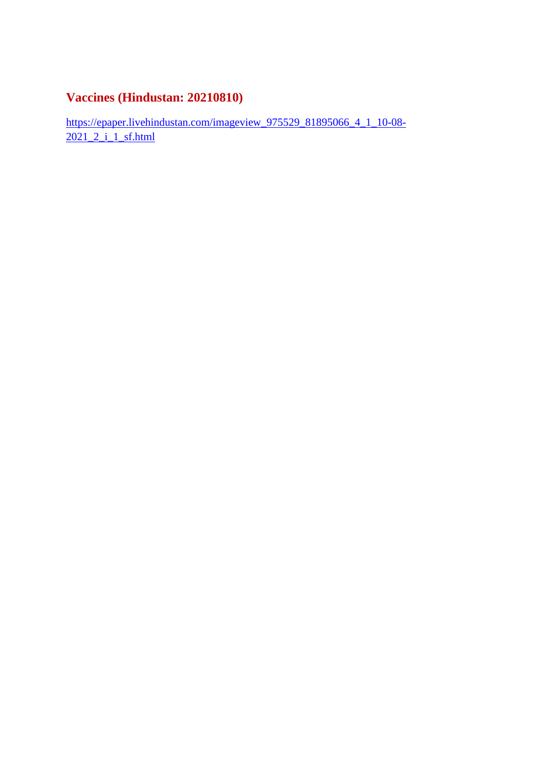### **Vaccines (Hindustan: 20210810)**

https://epaper.livehindustan.com/imageview\_975529\_81895066\_4\_1\_10-08- 2021\_2\_i\_1\_sf.html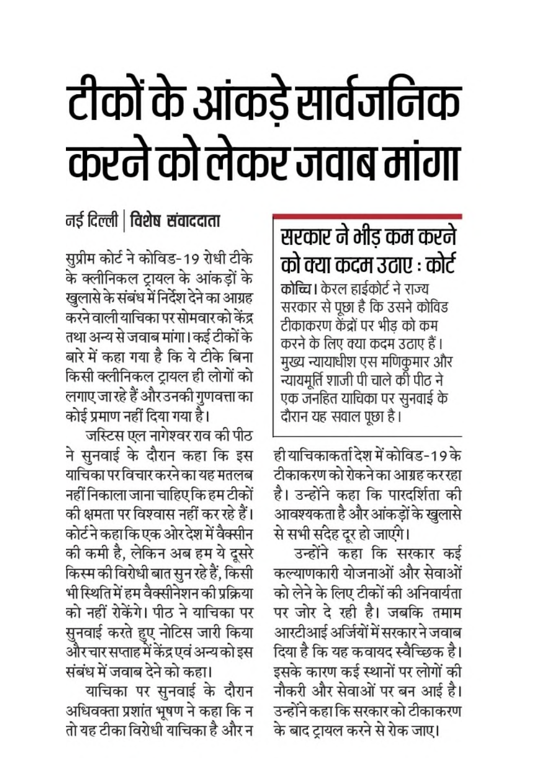# टीकों के आंकड़े सार्वजनिक करने को लेकर जवाब मांगा

### नई दिल्ली | विशेष संवाददाता

सुप्रीम कोर्ट ने कोविड-19 रोधी टीके के क्लीनिकल ट्रायल के आंकड़ों के खुलासे के संबंध में निर्देश देने का आग्रह करने वाली याचिका पर सोमवार को केंद्र तथा अन्य से जवाब मांगा। कई टीकों के बारे में कहा गया है कि ये टीके बिना किसी क्लीनिकल ट्रायल ही लोगों को लगाए जा रहे हैं और उनकी गुणवत्ता का कोई प्रमाण नहीं दिया गया है।

जस्टिस एल नागेश्वर राव की पीठ ने सुनवाई के दौरान कहा कि इस याचिका पर विचार करने का यह मतलब नहीं निकाला जाना चाहिए कि हम टीकों की क्षमता पर विश्वास नहीं कर रहे हैं। कोर्ट ने कहा कि एक ओर देश में वैक्सीन की कमी है, लेकिन अब हम ये दूसरे किस्म की विरोधी बात सुन रहे हैं, किसी भी स्थिति में हम वैक्सीनेशन की प्रक्रिया को नहीं रोकेंगे। पीठ ने याचिका पर सुनवाई करते हुए नोटिस जारी किया और चार सप्ताह में केंद्र एवं अन्य को इस संबंध में जवाब देने को कहा।

याचिका पर सुनवाई के दौरान अधिवक्ता प्रशांत भूषण ने कहा कि न तो यह टीका विरोधी याचिका है और न

सरकार ने भीड़ कम करने को क्या कदम उठाए : कोर्ट कोच्चि । केरल हाईकोर्ट ने राज्य सरकार से पूछा है कि उसने कोविड टीकाकरण केंद्रों पर भीड को कम करने के लिए क्या कदम उठाए हैं । मुख्य न्यायाधीश एस मणिकुमार और न्यायमूर्ति शाजी पी चाले की पीठ ने एक जनहित याचिका पर सुनवाई के दौरान यह सवाल पूछा है।

ही याचिकाकर्ता देश में कोविड-19 के टीकाकरण को रोकने का आग्रह कर रहा है। उन्होंने कहा कि पारदर्शिता की आवश्यकता है और आंकड़ों के खुलासे से सभी संदेह दूर हो जाएंगे।

उन्होंने कहा कि सरकार कई कल्याणकारी योजनाओं और सेवाओं को लेने के लिए टीकों की अनिवार्यता पर जोर दे रही है। जबकि तमाम आरटीआई अर्जियों में सरकार ने जवाब दिया है कि यह कवायद स्वैच्छिक है। इसके कारण कई स्थानों पर लोगों की नौकरी और सेवाओं पर बन आई है। उन्होंने कहा कि सरकार को टीकाकरण के बाद ट्रायल करने से रोक जाए।